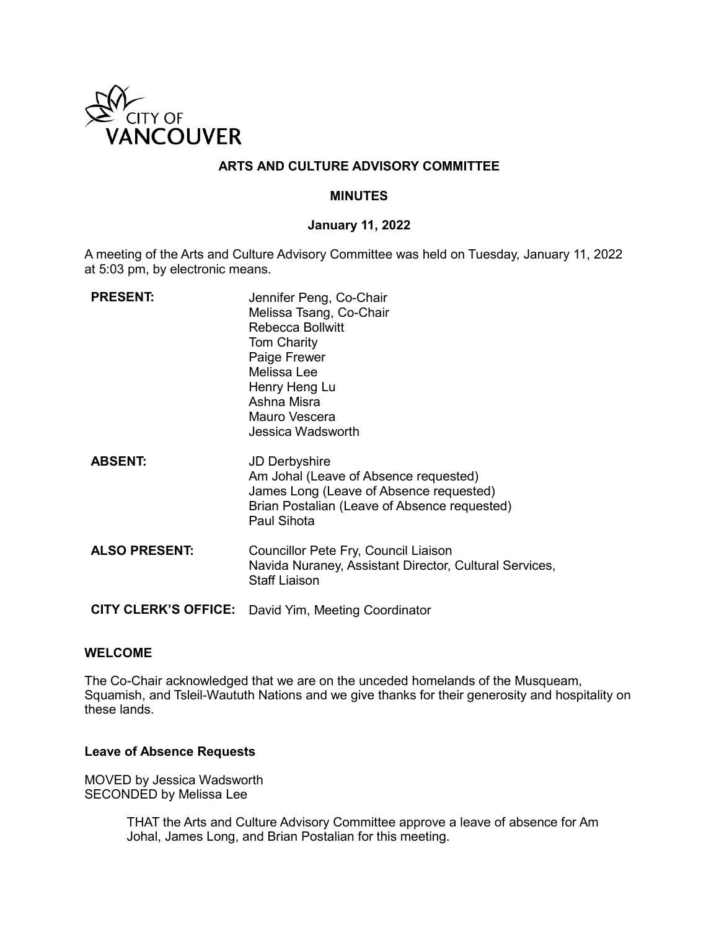

# **ARTS AND CULTURE ADVISORY COMMITTEE**

## **MINUTES**

### **January 11, 2022**

A meeting of the Arts and Culture Advisory Committee was held on Tuesday, January 11, 2022 at 5:03 pm, by electronic means.

| <b>PRESENT:</b>             | Jennifer Peng, Co-Chair<br>Melissa Tsang, Co-Chair<br><b>Rebecca Bollwitt</b><br><b>Tom Charity</b><br>Paige Frewer<br>Melissa Lee<br>Henry Heng Lu<br>Ashna Misra<br>Mauro Vescera<br>Jessica Wadsworth |
|-----------------------------|----------------------------------------------------------------------------------------------------------------------------------------------------------------------------------------------------------|
| <b>ABSENT:</b>              | <b>JD Derbyshire</b><br>Am Johal (Leave of Absence requested)<br>James Long (Leave of Absence requested)<br>Brian Postalian (Leave of Absence requested)<br>Paul Sihota                                  |
| <b>ALSO PRESENT:</b>        | Councillor Pete Fry, Council Liaison<br>Navida Nuraney, Assistant Director, Cultural Services,<br><b>Staff Liaison</b>                                                                                   |
| <b>CITY CLERK'S OFFICE:</b> | David Yim, Meeting Coordinator                                                                                                                                                                           |

### **WELCOME**

The Co-Chair acknowledged that we are on the unceded homelands of the Musqueam, Squamish, and Tsleil-Waututh Nations and we give thanks for their generosity and hospitality on these lands.

### **Leave of Absence Requests**

MOVED by Jessica Wadsworth SECONDED by Melissa Lee

> THAT the Arts and Culture Advisory Committee approve a leave of absence for Am Johal, James Long, and Brian Postalian for this meeting.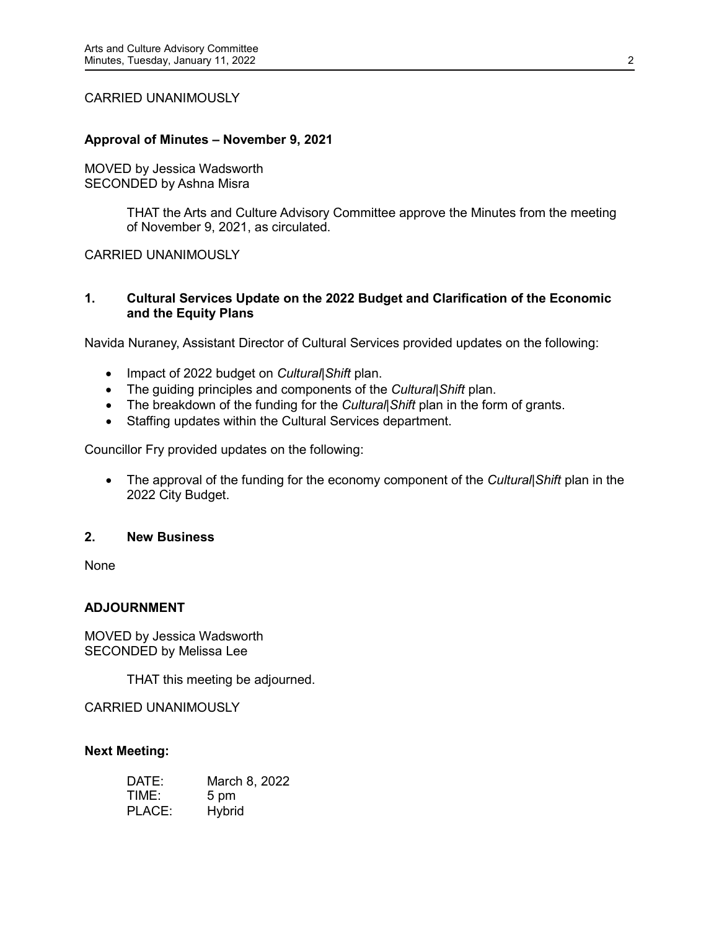### CARRIED UNANIMOUSLY

## **Approval of Minutes – November 9, 2021**

MOVED by Jessica Wadsworth SECONDED by Ashna Misra

> THAT the Arts and Culture Advisory Committee approve the Minutes from the meeting of November 9, 2021, as circulated.

### CARRIED UNANIMOUSLY

## **1. Cultural Services Update on the 2022 Budget and Clarification of the Economic and the Equity Plans**

Navida Nuraney, Assistant Director of Cultural Services provided updates on the following:

- Impact of 2022 budget on *Cultural|Shift* plan.
- The guiding principles and components of the *Cultural|Shift* plan.
- The breakdown of the funding for the *Cultural|Shift* plan in the form of grants.
- Staffing updates within the Cultural Services department.

Councillor Fry provided updates on the following:

• The approval of the funding for the economy component of the *Cultural|Shift* plan in the 2022 City Budget.

### **2. New Business**

None

# **ADJOURNMENT**

MOVED by Jessica Wadsworth SECONDED by Melissa Lee

THAT this meeting be adjourned.

CARRIED UNANIMOUSLY

### **Next Meeting:**

| DATE:  | March 8, 2022 |
|--------|---------------|
| TIME:  | 5 pm          |
| PLACE: | <b>Hybrid</b> |